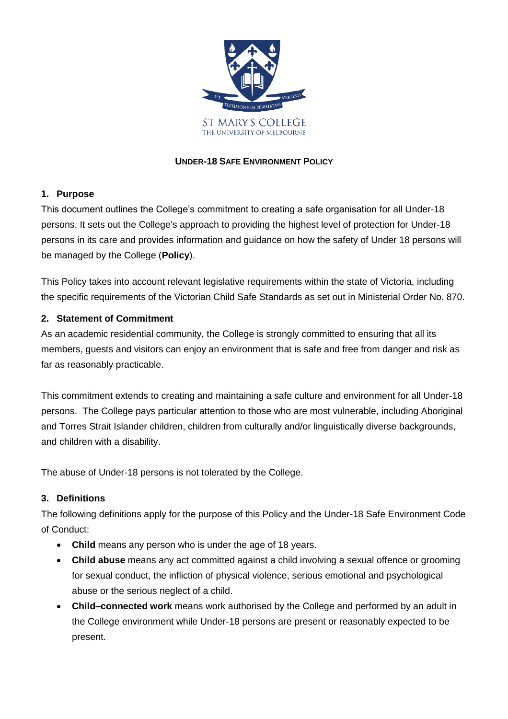

## **UNDER-18 SAFE ENVIRONMENT POLICY**

## **1. Purpose**

This document outlines the College's commitment to creating a safe organisation for all Under-18 persons. It sets out the College's approach to providing the highest level of protection for Under-18 persons in its care and provides information and guidance on how the safety of Under 18 persons will be managed by the College (**Policy**).

This Policy takes into account relevant legislative requirements within the state of Victoria, including the specific requirements of the Victorian Child Safe Standards as set out in Ministerial Order No. 870.

## **2. Statement of Commitment**

As an academic residential community, the College is strongly committed to ensuring that all its members, guests and visitors can enjoy an environment that is safe and free from danger and risk as far as reasonably practicable.

This commitment extends to creating and maintaining a safe culture and environment for all Under-18 persons. The College pays particular attention to those who are most vulnerable, including Aboriginal and Torres Strait Islander children, children from culturally and/or linguistically diverse backgrounds, and children with a disability.

The abuse of Under-18 persons is not tolerated by the College.

## **3. Definitions**

The following definitions apply for the purpose of this Policy and the Under-18 Safe Environment Code of Conduct:

- **Child** means any person who is under the age of 18 years.
- **Child abuse** means any act committed against a child involving a sexual offence or grooming for sexual conduct, the infliction of physical violence, serious emotional and psychological abuse or the serious neglect of a child.
- **Child–connected work** means work authorised by the College and performed by an adult in the College environment while Under-18 persons are present or reasonably expected to be present.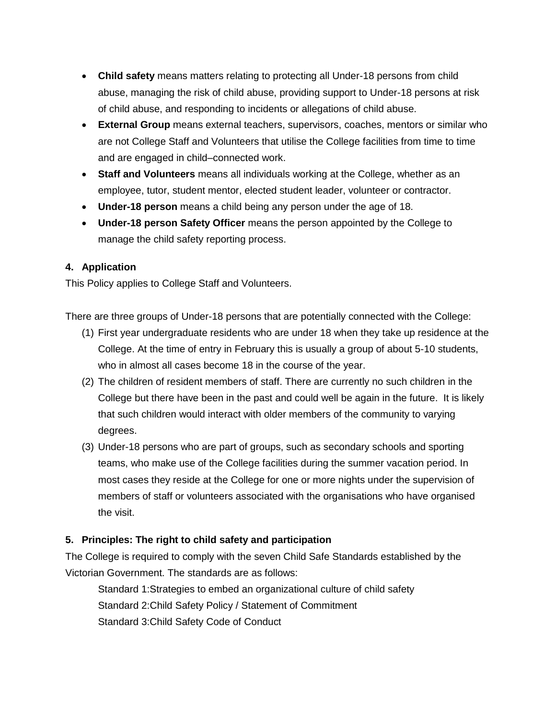- **Child safety** means matters relating to protecting all Under-18 persons from child abuse, managing the risk of child abuse, providing support to Under-18 persons at risk of child abuse, and responding to incidents or allegations of child abuse.
- **External Group** means external teachers, supervisors, coaches, mentors or similar who are not College Staff and Volunteers that utilise the College facilities from time to time and are engaged in child–connected work.
- **Staff and Volunteers** means all individuals working at the College, whether as an employee, tutor, student mentor, elected student leader, volunteer or contractor.
- **Under-18 person** means a child being any person under the age of 18.
- **Under-18 person Safety Officer** means the person appointed by the College to manage the child safety reporting process.

# **4. Application**

This Policy applies to College Staff and Volunteers.

There are three groups of Under-18 persons that are potentially connected with the College:

- (1) First year undergraduate residents who are under 18 when they take up residence at the College. At the time of entry in February this is usually a group of about 5-10 students, who in almost all cases become 18 in the course of the year.
- (2) The children of resident members of staff. There are currently no such children in the College but there have been in the past and could well be again in the future. It is likely that such children would interact with older members of the community to varying degrees.
- (3) Under-18 persons who are part of groups, such as secondary schools and sporting teams, who make use of the College facilities during the summer vacation period. In most cases they reside at the College for one or more nights under the supervision of members of staff or volunteers associated with the organisations who have organised the visit.

## **5. Principles: The right to child safety and participation**

The College is required to comply with the seven Child Safe Standards established by the Victorian Government. The standards are as follows:

Standard 1:Strategies to embed an organizational culture of child safety Standard 2:Child Safety Policy / Statement of Commitment Standard 3:Child Safety Code of Conduct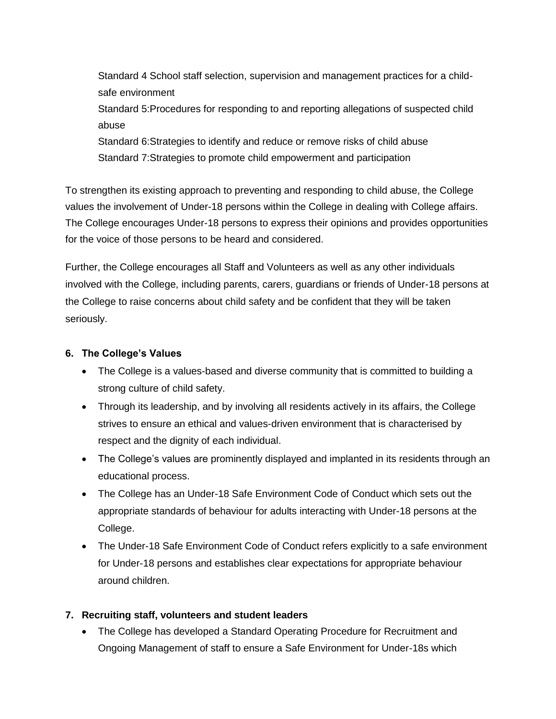Standard 4 School staff selection, supervision and management practices for a childsafe environment Standard 5:Procedures for responding to and reporting allegations of suspected child abuse Standard 6:Strategies to identify and reduce or remove risks of child abuse Standard 7:Strategies to promote child empowerment and participation

To strengthen its existing approach to preventing and responding to child abuse, the College values the involvement of Under-18 persons within the College in dealing with College affairs. The College encourages Under-18 persons to express their opinions and provides opportunities for the voice of those persons to be heard and considered.

Further, the College encourages all Staff and Volunteers as well as any other individuals involved with the College, including parents, carers, guardians or friends of Under-18 persons at the College to raise concerns about child safety and be confident that they will be taken seriously.

#### **6. The College's Values**

- The College is a values-based and diverse community that is committed to building a strong culture of child safety.
- Through its leadership, and by involving all residents actively in its affairs, the College strives to ensure an ethical and values-driven environment that is characterised by respect and the dignity of each individual.
- The College's values are prominently displayed and implanted in its residents through an educational process.
- The College has an Under-18 Safe Environment Code of Conduct which sets out the appropriate standards of behaviour for adults interacting with Under-18 persons at the College.
- The Under-18 Safe Environment Code of Conduct refers explicitly to a safe environment for Under-18 persons and establishes clear expectations for appropriate behaviour around children.

## **7. Recruiting staff, volunteers and student leaders**

 The College has developed a Standard Operating Procedure for Recruitment and Ongoing Management of staff to ensure a Safe Environment for Under-18s which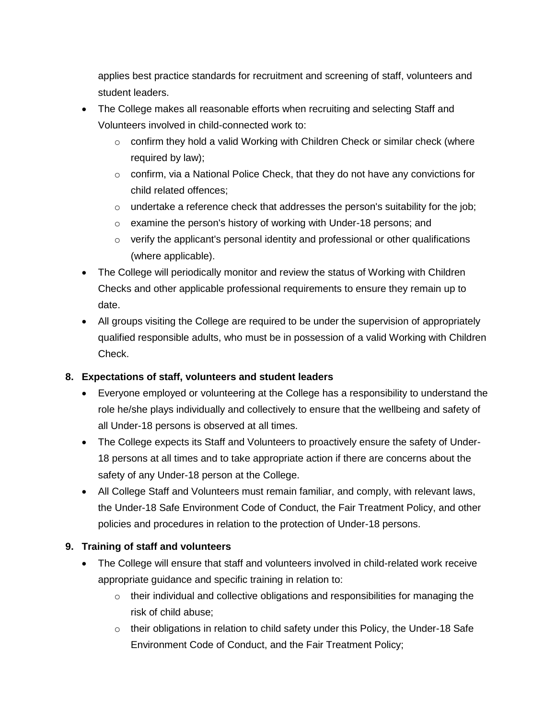applies best practice standards for recruitment and screening of staff, volunteers and student leaders.

- The College makes all reasonable efforts when recruiting and selecting Staff and Volunteers involved in child-connected work to:
	- $\circ$  confirm they hold a valid Working with Children Check or similar check (where required by law);
	- o confirm, via a National Police Check, that they do not have any convictions for child related offences;
	- $\circ$  undertake a reference check that addresses the person's suitability for the job;
	- o examine the person's history of working with Under-18 persons; and
	- o verify the applicant's personal identity and professional or other qualifications (where applicable).
- The College will periodically monitor and review the status of Working with Children Checks and other applicable professional requirements to ensure they remain up to date.
- All groups visiting the College are required to be under the supervision of appropriately qualified responsible adults, who must be in possession of a valid Working with Children Check.

## **8. Expectations of staff, volunteers and student leaders**

- Everyone employed or volunteering at the College has a responsibility to understand the role he/she plays individually and collectively to ensure that the wellbeing and safety of all Under-18 persons is observed at all times.
- The College expects its Staff and Volunteers to proactively ensure the safety of Under-18 persons at all times and to take appropriate action if there are concerns about the safety of any Under-18 person at the College.
- All College Staff and Volunteers must remain familiar, and comply, with relevant laws, the Under-18 Safe Environment Code of Conduct, the Fair Treatment Policy, and other policies and procedures in relation to the protection of Under-18 persons.

## **9. Training of staff and volunteers**

- The College will ensure that staff and volunteers involved in child-related work receive appropriate guidance and specific training in relation to:
	- $\circ$  their individual and collective obligations and responsibilities for managing the risk of child abuse;
	- o their obligations in relation to child safety under this Policy, the Under-18 Safe Environment Code of Conduct, and the Fair Treatment Policy;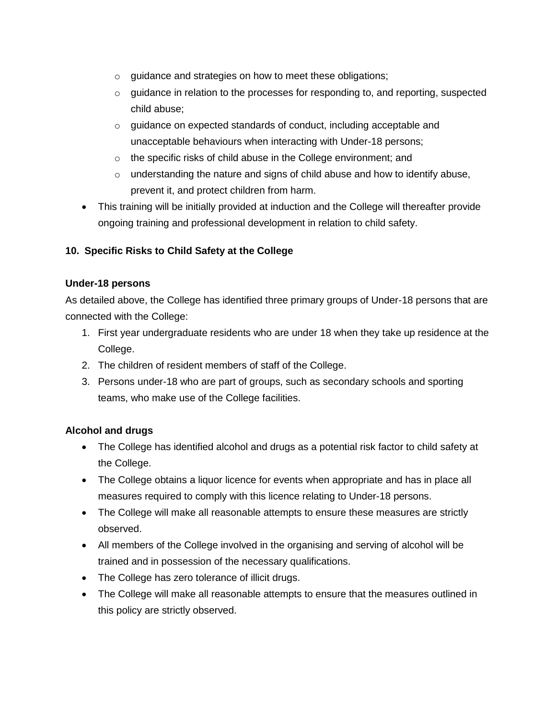- o guidance and strategies on how to meet these obligations;
- $\circ$  quidance in relation to the processes for responding to, and reporting, suspected child abuse;
- o guidance on expected standards of conduct, including acceptable and unacceptable behaviours when interacting with Under-18 persons;
- o the specific risks of child abuse in the College environment; and
- o understanding the nature and signs of child abuse and how to identify abuse, prevent it, and protect children from harm.
- This training will be initially provided at induction and the College will thereafter provide ongoing training and professional development in relation to child safety.

# **10. Specific Risks to Child Safety at the College**

#### **Under-18 persons**

As detailed above, the College has identified three primary groups of Under-18 persons that are connected with the College:

- 1. First year undergraduate residents who are under 18 when they take up residence at the College.
- 2. The children of resident members of staff of the College.
- 3. Persons under-18 who are part of groups, such as secondary schools and sporting teams, who make use of the College facilities.

## **Alcohol and drugs**

- The College has identified alcohol and drugs as a potential risk factor to child safety at the College.
- The College obtains a liquor licence for events when appropriate and has in place all measures required to comply with this licence relating to Under-18 persons.
- The College will make all reasonable attempts to ensure these measures are strictly observed.
- All members of the College involved in the organising and serving of alcohol will be trained and in possession of the necessary qualifications.
- The College has zero tolerance of illicit drugs.
- The College will make all reasonable attempts to ensure that the measures outlined in this policy are strictly observed.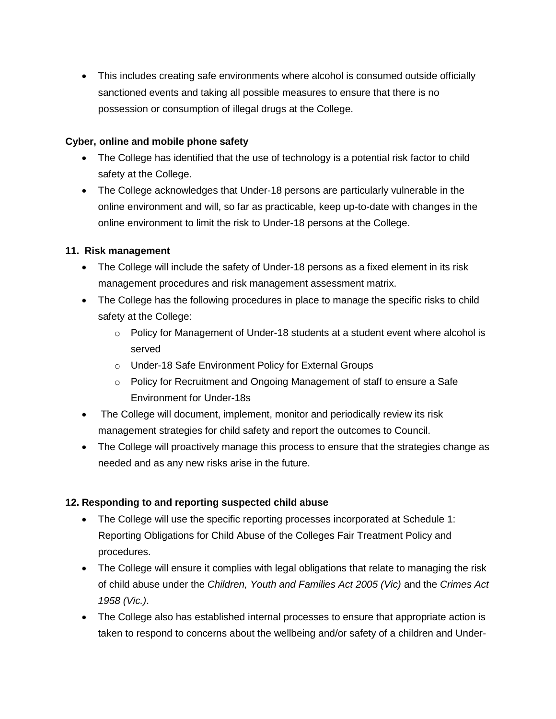This includes creating safe environments where alcohol is consumed outside officially sanctioned events and taking all possible measures to ensure that there is no possession or consumption of illegal drugs at the College.

#### **Cyber, online and mobile phone safety**

- The College has identified that the use of technology is a potential risk factor to child safety at the College.
- The College acknowledges that Under-18 persons are particularly vulnerable in the online environment and will, so far as practicable, keep up-to-date with changes in the online environment to limit the risk to Under-18 persons at the College.

## **11. Risk management**

- The College will include the safety of Under-18 persons as a fixed element in its risk management procedures and risk management assessment matrix.
- The College has the following procedures in place to manage the specific risks to child safety at the College:
	- $\circ$  Policy for Management of Under-18 students at a student event where alcohol is served
	- o Under-18 Safe Environment Policy for External Groups
	- o Policy for Recruitment and Ongoing Management of staff to ensure a Safe Environment for Under-18s
- The College will document, implement, monitor and periodically review its risk management strategies for child safety and report the outcomes to Council.
- The College will proactively manage this process to ensure that the strategies change as needed and as any new risks arise in the future.

## **12. Responding to and reporting suspected child abuse**

- The College will use the specific reporting processes incorporated at Schedule 1: Reporting Obligations for Child Abuse of the Colleges Fair Treatment Policy and procedures.
- The College will ensure it complies with legal obligations that relate to managing the risk of child abuse under the *Children, Youth and Families Act 2005 (Vic)* and the *Crimes Act 1958 (Vic.)*.
- The College also has established internal processes to ensure that appropriate action is taken to respond to concerns about the wellbeing and/or safety of a children and Under-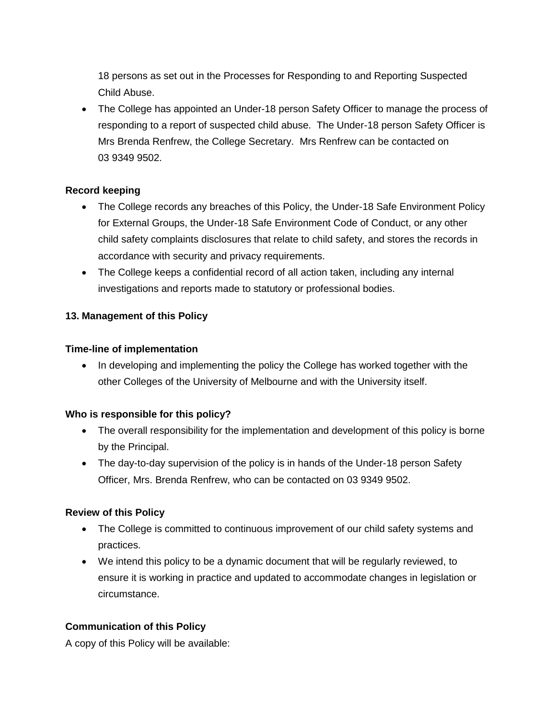18 persons as set out in the Processes for Responding to and Reporting Suspected Child Abuse.

 The College has appointed an Under-18 person Safety Officer to manage the process of responding to a report of suspected child abuse. The Under-18 person Safety Officer is Mrs Brenda Renfrew, the College Secretary. Mrs Renfrew can be contacted on 03 9349 9502.

#### **Record keeping**

- The College records any breaches of this Policy, the Under-18 Safe Environment Policy for External Groups, the Under-18 Safe Environment Code of Conduct, or any other child safety complaints disclosures that relate to child safety, and stores the records in accordance with security and privacy requirements.
- The College keeps a confidential record of all action taken, including any internal investigations and reports made to statutory or professional bodies.

#### **13. Management of this Policy**

#### **Time-line of implementation**

• In developing and implementing the policy the College has worked together with the other Colleges of the University of Melbourne and with the University itself.

#### **Who is responsible for this policy?**

- The overall responsibility for the implementation and development of this policy is borne by the Principal.
- The day-to-day supervision of the policy is in hands of the Under-18 person Safety Officer, Mrs. Brenda Renfrew, who can be contacted on 03 9349 9502.

#### **Review of this Policy**

- The College is committed to continuous improvement of our child safety systems and practices.
- We intend this policy to be a dynamic document that will be regularly reviewed, to ensure it is working in practice and updated to accommodate changes in legislation or circumstance.

#### **Communication of this Policy**

A copy of this Policy will be available: